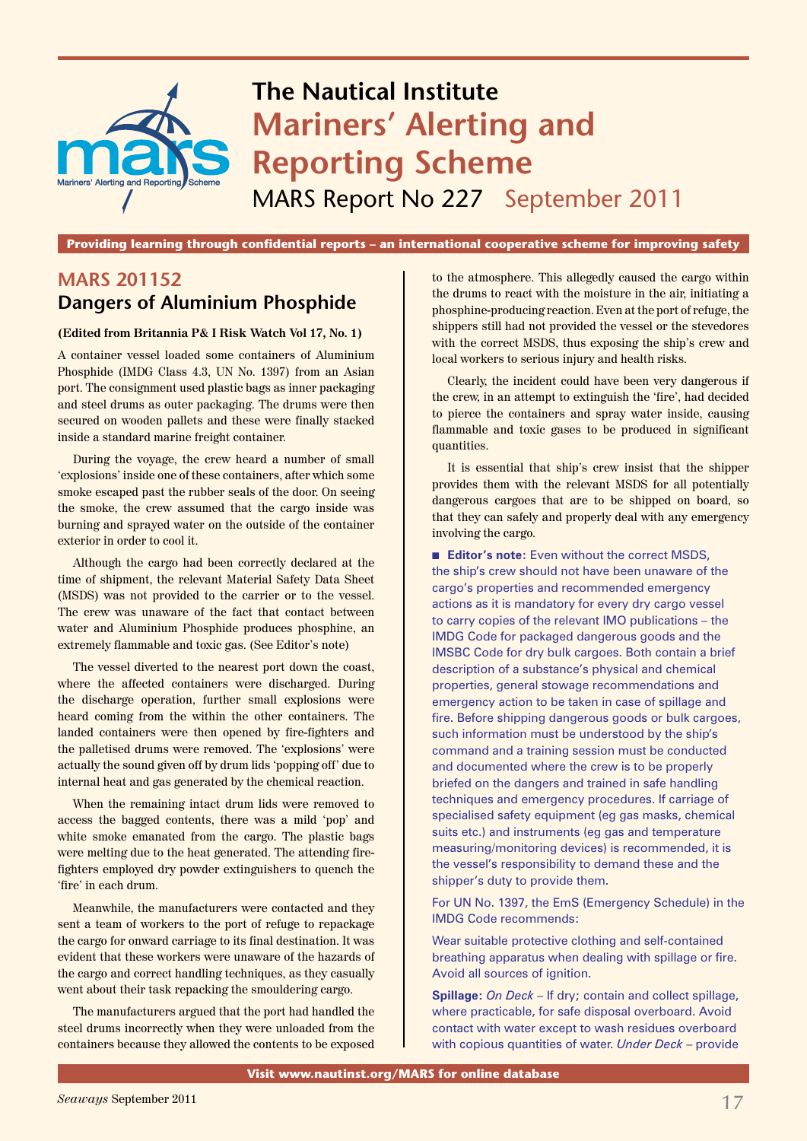

**Providing learning through confidential reports – an international cooperative scheme for improving safety**

# **MARS 201152 Dangers of Aluminium Phosphide**

#### **(Edited from Britannia P& I Risk Watch Vol 17, No. 1)**

A container vessel loaded some containers of Aluminium Phosphide (IMDG Class 4.3, UN No. 1397) from an Asian port. The consignment used plastic bags as inner packaging and steel drums as outer packaging. The drums were then secured on wooden pallets and these were finally stacked inside a standard marine freight container.

During the voyage, the crew heard a number of small 'explosions' inside one of these containers, after which some smoke escaped past the rubber seals of the door. On seeing the smoke, the crew assumed that the cargo inside was burning and sprayed water on the outside of the container exterior in order to cool it.

Although the cargo had been correctly declared at the time of shipment, the relevant Material Safety Data Sheet (MSDS) was not provided to the carrier or to the vessel. The crew was unaware of the fact that contact between water and Aluminium Phosphide produces phosphine, an extremely flammable and toxic gas. (See Editor's note)

The vessel diverted to the nearest port down the coast, where the affected containers were discharged. During the discharge operation, further small explosions were heard coming from the within the other containers. The landed containers were then opened by fire-fighters and the palletised drums were removed. The 'explosions' were actually the sound given off by drum lids 'popping off' due to internal heat and gas generated by the chemical reaction.

When the remaining intact drum lids were removed to access the bagged contents, there was a mild 'pop' and white smoke emanated from the cargo. The plastic bags were melting due to the heat generated. The attending firefighters employed dry powder extinguishers to quench the 'fire' in each drum.

Meanwhile, the manufacturers were contacted and they sent a team of workers to the port of refuge to repackage the cargo for onward carriage to its final destination. It was evident that these workers were unaware of the hazards of the cargo and correct handling techniques, as they casually went about their task repacking the smouldering cargo.

The manufacturers argued that the port had handled the steel drums incorrectly when they were unloaded from the containers because they allowed the contents to be exposed to the atmosphere. This allegedly caused the cargo within the drums to react with the moisture in the air, initiating a phosphine-producing reaction. Even at the port of refuge, the shippers still had not provided the vessel or the stevedores with the correct MSDS, thus exposing the ship's crew and local workers to serious injury and health risks.

Clearly, the incident could have been very dangerous if the crew, in an attempt to extinguish the 'fire', had decided to pierce the containers and spray water inside, causing flammable and toxic gases to be produced in significant quantities.

It is essential that ship's crew insist that the shipper provides them with the relevant MSDS for all potentially dangerous cargoes that are to be shipped on board, so that they can safely and properly deal with any emergency involving the cargo.

**Editor's note:** Even without the correct MSDS, the ship's crew should not have been unaware of the cargo's properties and recommended emergency actions as it is mandatory for every dry cargo vessel to carry copies of the relevant IMO publications – the IMDG Code for packaged dangerous goods and the IMSBC Code for dry bulk cargoes. Both contain a brief description of a substance's physical and chemical properties, general stowage recommendations and emergency action to be taken in case of spillage and fire. Before shipping dangerous goods or bulk cargoes, such information must be understood by the ship's command and a training session must be conducted and documented where the crew is to be properly briefed on the dangers and trained in safe handling techniques and emergency procedures. If carriage of specialised safety equipment (eg gas masks, chemical suits etc.) and instruments (eg gas and temperature measuring/monitoring devices) is recommended, it is the vessel's responsibility to demand these and the shipper's duty to provide them.

For UN No. 1397, the EmS (Emergency Schedule) in the IMDG Code recommends:

Wear suitable protective clothing and self-contained breathing apparatus when dealing with spillage or fire. Avoid all sources of ignition.

**Spillage:** *On Deck* – If dry; contain and collect spillage, where practicable, for safe disposal overboard. Avoid contact with water except to wash residues overboard with copious quantities of water. *Under Deck* – provide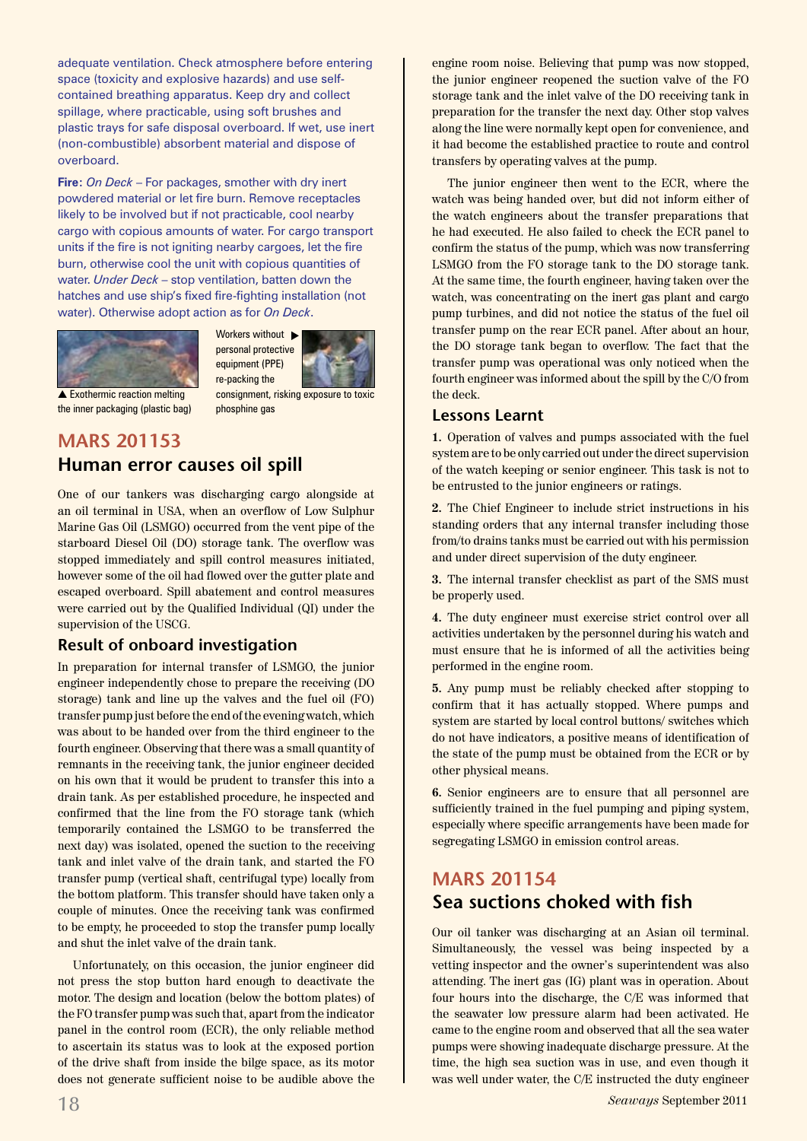adequate ventilation. Check atmosphere before entering space (toxicity and explosive hazards) and use selfcontained breathing apparatus. Keep dry and collect spillage, where practicable, using soft brushes and plastic trays for safe disposal overboard. If wet, use inert (non-combustible) absorbent material and dispose of overboard.

**Fire:** *On Deck* – For packages, smother with dry inert powdered material or let fire burn. Remove receptacles likely to be involved but if not practicable, cool nearby cargo with copious amounts of water. For cargo transport units if the fire is not igniting nearby cargoes, let the fire burn, otherwise cool the unit with copious quantities of water. *Under Deck* – stop ventilation, batten down the hatches and use ship's fixed fire-fighting installation (not water). Otherwise adopt action as for *On Deck*.



Workers without  $\blacktriangleright$ personal protective equipment (PPE) re-packing the

 $\triangle$  Exothermic reaction melting the inner packaging (plastic bag)

consignment, risking exposure to toxic phosphine gas

## **MARS 201153 Human error causes oil spill**

One of our tankers was discharging cargo alongside at an oil terminal in USA, when an overflow of Low Sulphur Marine Gas Oil (LSMGO) occurred from the vent pipe of the starboard Diesel Oil (DO) storage tank. The overflow was stopped immediately and spill control measures initiated, however some of the oil had flowed over the gutter plate and escaped overboard. Spill abatement and control measures were carried out by the Qualified Individual (QI) under the supervision of the USCG.

### **Result of onboard investigation**

In preparation for internal transfer of LSMGO, the junior engineer independently chose to prepare the receiving (DO storage) tank and line up the valves and the fuel oil (FO) transfer pump just before the end of the evening watch, which was about to be handed over from the third engineer to the fourth engineer. Observing that there was a small quantity of remnants in the receiving tank, the junior engineer decided on his own that it would be prudent to transfer this into a drain tank. As per established procedure, he inspected and confirmed that the line from the FO storage tank (which temporarily contained the LSMGO to be transferred the next day) was isolated, opened the suction to the receiving tank and inlet valve of the drain tank, and started the FO transfer pump (vertical shaft, centrifugal type) locally from the bottom platform. This transfer should have taken only a couple of minutes. Once the receiving tank was confirmed to be empty, he proceeded to stop the transfer pump locally and shut the inlet valve of the drain tank.

Unfortunately, on this occasion, the junior engineer did not press the stop button hard enough to deactivate the motor. The design and location (below the bottom plates) of the FO transfer pump was such that, apart from the indicator panel in the control room (ECR), the only reliable method to ascertain its status was to look at the exposed portion of the drive shaft from inside the bilge space, as its motor does not generate sufficient noise to be audible above the engine room noise. Believing that pump was now stopped, the junior engineer reopened the suction valve of the FO storage tank and the inlet valve of the DO receiving tank in preparation for the transfer the next day. Other stop valves along the line were normally kept open for convenience, and it had become the established practice to route and control transfers by operating valves at the pump.

The junior engineer then went to the ECR, where the watch was being handed over, but did not inform either of the watch engineers about the transfer preparations that he had executed. He also failed to check the ECR panel to confirm the status of the pump, which was now transferring LSMGO from the FO storage tank to the DO storage tank. At the same time, the fourth engineer, having taken over the watch, was concentrating on the inert gas plant and cargo pump turbines, and did not notice the status of the fuel oil transfer pump on the rear ECR panel. After about an hour, the DO storage tank began to overflow. The fact that the transfer pump was operational was only noticed when the fourth engineer was informed about the spill by the C/O from the deck.

#### **Lessons Learnt**

**1.** Operation of valves and pumps associated with the fuel system are to be only carried out under the direct supervision of the watch keeping or senior engineer. This task is not to be entrusted to the junior engineers or ratings.

**2.** The Chief Engineer to include strict instructions in his standing orders that any internal transfer including those from/to drains tanks must be carried out with his permission and under direct supervision of the duty engineer.

**3.** The internal transfer checklist as part of the SMS must be properly used.

**4.** The duty engineer must exercise strict control over all activities undertaken by the personnel during his watch and must ensure that he is informed of all the activities being performed in the engine room.

**5.** Any pump must be reliably checked after stopping to confirm that it has actually stopped. Where pumps and system are started by local control buttons/ switches which do not have indicators, a positive means of identification of the state of the pump must be obtained from the ECR or by other physical means.

**6.** Senior engineers are to ensure that all personnel are sufficiently trained in the fuel pumping and piping system, especially where specific arrangements have been made for segregating LSMGO in emission control areas.

# **MARS 201154 Sea suctions choked with fish**

Our oil tanker was discharging at an Asian oil terminal. Simultaneously, the vessel was being inspected by a vetting inspector and the owner's superintendent was also attending. The inert gas (IG) plant was in operation. About four hours into the discharge, the C/E was informed that the seawater low pressure alarm had been activated. He came to the engine room and observed that all the sea water pumps were showing inadequate discharge pressure. At the time, the high sea suction was in use, and even though it was well under water, the C/E instructed the duty engineer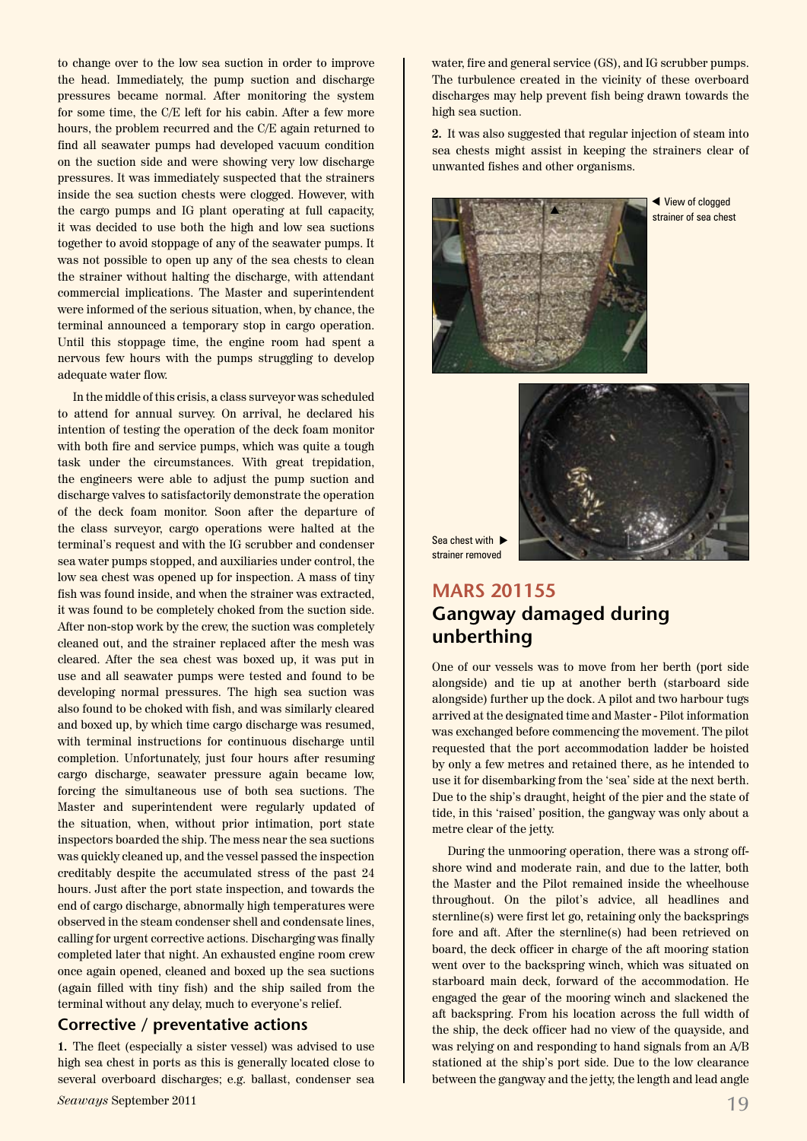to change over to the low sea suction in order to improve the head. Immediately, the pump suction and discharge pressures became normal. After monitoring the system for some time, the C/E left for his cabin. After a few more hours, the problem recurred and the C/E again returned to find all seawater pumps had developed vacuum condition on the suction side and were showing very low discharge pressures. It was immediately suspected that the strainers inside the sea suction chests were clogged. However, with the cargo pumps and IG plant operating at full capacity, it was decided to use both the high and low sea suctions together to avoid stoppage of any of the seawater pumps. It was not possible to open up any of the sea chests to clean the strainer without halting the discharge, with attendant commercial implications. The Master and superintendent were informed of the serious situation, when, by chance, the terminal announced a temporary stop in cargo operation. Until this stoppage time, the engine room had spent a nervous few hours with the pumps struggling to develop adequate water flow.

In the middle of this crisis, a class surveyor was scheduled to attend for annual survey. On arrival, he declared his intention of testing the operation of the deck foam monitor with both fire and service pumps, which was quite a tough task under the circumstances. With great trepidation, the engineers were able to adjust the pump suction and discharge valves to satisfactorily demonstrate the operation of the deck foam monitor. Soon after the departure of the class surveyor, cargo operations were halted at the terminal's request and with the IG scrubber and condenser sea water pumps stopped, and auxiliaries under control, the low sea chest was opened up for inspection. A mass of tiny fish was found inside, and when the strainer was extracted, it was found to be completely choked from the suction side. After non-stop work by the crew, the suction was completely cleaned out, and the strainer replaced after the mesh was cleared. After the sea chest was boxed up, it was put in use and all seawater pumps were tested and found to be developing normal pressures. The high sea suction was also found to be choked with fish, and was similarly cleared and boxed up, by which time cargo discharge was resumed, with terminal instructions for continuous discharge until completion. Unfortunately, just four hours after resuming cargo discharge, seawater pressure again became low, forcing the simultaneous use of both sea suctions. The Master and superintendent were regularly updated of the situation, when, without prior intimation, port state inspectors boarded the ship. The mess near the sea suctions was quickly cleaned up, and the vessel passed the inspection creditably despite the accumulated stress of the past 24 hours. Just after the port state inspection, and towards the end of cargo discharge, abnormally high temperatures were observed in the steam condenser shell and condensate lines, calling for urgent corrective actions. Discharging was finally completed later that night. An exhausted engine room crew once again opened, cleaned and boxed up the sea suctions (again filled with tiny fish) and the ship sailed from the terminal without any delay, much to everyone's relief.

### **Corrective / preventative actions**

**1.** The fleet (especially a sister vessel) was advised to use high sea chest in ports as this is generally located close to several overboard discharges; e.g. ballast, condenser sea

water, fire and general service (GS), and IG scrubber pumps. The turbulence created in the vicinity of these overboard discharges may help prevent fish being drawn towards the high sea suction.

**2.** It was also suggested that regular injection of steam into sea chests might assist in keeping the strainers clear of unwanted fishes and other organisms.



 View of clogged strainer of sea chest



Sea chest with  $\blacktriangleright$ strainer removed

## **MARS 201155 Gangway damaged during unberthing**

One of our vessels was to move from her berth (port side alongside) and tie up at another berth (starboard side alongside) further up the dock. A pilot and two harbour tugs arrived at the designated time and Master - Pilot information was exchanged before commencing the movement. The pilot requested that the port accommodation ladder be hoisted by only a few metres and retained there, as he intended to use it for disembarking from the 'sea' side at the next berth. Due to the ship's draught, height of the pier and the state of tide, in this 'raised' position, the gangway was only about a metre clear of the jetty.

During the unmooring operation, there was a strong offshore wind and moderate rain, and due to the latter, both the Master and the Pilot remained inside the wheelhouse throughout. On the pilot's advice, all headlines and sternline(s) were first let go, retaining only the backsprings fore and aft. After the sternline(s) had been retrieved on board, the deck officer in charge of the aft mooring station went over to the backspring winch, which was situated on starboard main deck, forward of the accommodation. He engaged the gear of the mooring winch and slackened the aft backspring. From his location across the full width of the ship, the deck officer had no view of the quayside, and was relying on and responding to hand signals from an A/B stationed at the ship's port side. Due to the low clearance between the gangway and the jetty, the length and lead angle